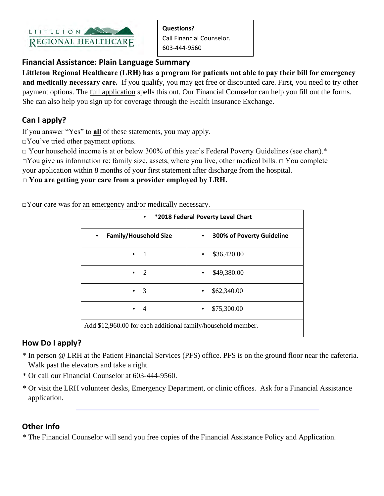

**Questions?**  Call Financial Counselor. 603-444-9560

### **Financial Assistance: Plain Language Summary**

**Littleton Regional Healthcare (LRH) has a program for patients not able to pay their bill for emergency and medically necessary care.** If you qualify, you may get free or discounted care. First, you need to try other payment options. Th[e](http://littletonhealthcare.org/pdf/LRH_Financial_Assistance_Application.pdf) [full application](http://littletonhealthcare.org/pdf/LRH_Financial_Assistance_Application.pdf) spells this out. Our Financial Counselor can help you fill out the forms. She can also help you sign up for coverage through the Health Insurance Exchange.

# **Can I apply?**

If you answer "Yes" to **all** of these statements, you may apply.

□You've tried other payment options.

□ Your household income is at or below 300% of this year's Federal Poverty Guidelines (see chart).\* □You give us information re: family size, assets, where you live, other medical bills. □ You complete your application within 8 months of your first statement after discharge from the hospital.

#### **□ You are getting your care from a provider employed by LRH.**

□Your care was for an emergency and/or medically necessary.

| *2018 Federal Poverty Level Chart<br>$\bullet$               |                                        |
|--------------------------------------------------------------|----------------------------------------|
| <b>Family/Household Size</b><br>$\bullet$                    | 300% of Poverty Guideline<br>$\bullet$ |
|                                                              | \$36,420.00                            |
| 2                                                            | \$49,380.00<br>٠                       |
| 3                                                            | \$62,340.00<br>٠                       |
| 4                                                            | \$75,300.00<br>$\bullet$               |
| Add \$12,960.00 for each additional family/household member. |                                        |

# **How Do I apply?**

- \* In person @ LRH at the Patient Financial Services (PFS) office. PFS is on the ground floor near the cafeteria. Walk past the elevators and take a right.
- \* Or call our Financial Counselor at 603-444-9560.
- \* Or visit the L[RH volunteer desks, Emergency Department, or clinic offices. Ask for a Financial](http://www.littletonhospital.org/pdf/LRH_Financial_Assistance_Application.pdf) Assistance application.

# **Other Info**

\* The Financial Counselor will send you free copies of the Financial Assistance Policy and Application.